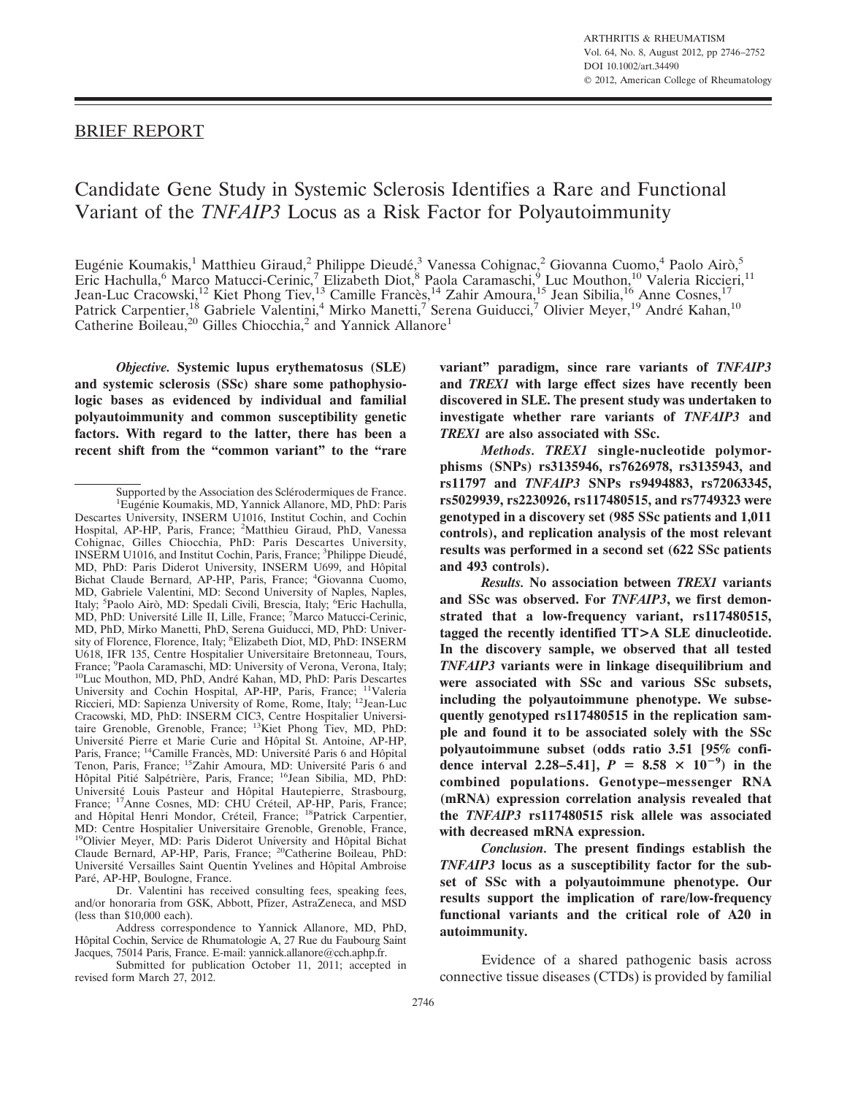## BRIEF REPORT

# Candidate Gene Study in Systemic Sclerosis Identifies a Rare and Functional Variant of the *TNFAIP3* Locus as a Risk Factor for Polyautoimmunity

Eugénie Koumakis,<sup>1</sup> Matthieu Giraud,<sup>2</sup> Philippe Dieudé,<sup>3</sup> Vanessa Cohignac,<sup>2</sup> Giovanna Cuomo,<sup>4</sup> Paolo Airò,<sup>5</sup> Eric Hachulla,<sup>6</sup> Marco Matucci-Cerinic,<sup>7</sup> Elizabeth Diot,<sup>8</sup> Paola Caramaschi,<sup>9</sup> Luc Mouthon,<sup>10</sup> Valeria Riccieri,<sup>11</sup> Jean-Luc Cracowski,<sup>12</sup> Kiet Phong Tiev,<sup>13</sup> Camille Francès,<sup>14</sup> Zahir Amoura,<sup>15</sup> Jean Sibilia,<sup>16</sup> Anne Cosnes,<sup>17</sup> Patrick Carpentier,<sup>18</sup> Gabriele Valentini,<sup>4</sup> Mirko Manetti,<sup>7</sup> Serena Guiducci,<sup>7</sup> Olivier Meyer,<sup>19</sup> André Kahan,<sup>10</sup> Catherine Boileau,<sup>20</sup> Gilles Chiocchia,<sup>2</sup> and Yannick Allanore<sup>1</sup>

*Objective.* **Systemic lupus erythematosus (SLE) and systemic sclerosis (SSc) share some pathophysiologic bases as evidenced by individual and familial polyautoimmunity and common susceptibility genetic factors. With regard to the latter, there has been a recent shift from the "common variant" to the "rare**

Dr. Valentini has received consulting fees, speaking fees, and/or honoraria from GSK, Abbott, Pfizer, AstraZeneca, and MSD (less than \$10,000 each).

Address correspondence to Yannick Allanore, MD, PhD, Hôpital Cochin, Service de Rhumatologie A, 27 Rue du Faubourg Saint Jacques, 75014 Paris, France. E-mail: yannick.allanore@cch.aphp.fr.

Submitted for publication October 11, 2011; accepted in revised form March 27, 2012.

**variant" paradigm, since rare variants of** *TNFAIP3* **and** *TREX1* **with large effect sizes have recently been discovered in SLE. The present study was undertaken to investigate whether rare variants of** *TNFAIP3* **and** *TREX1* **are also associated with SSc.**

*Methods. TREX1* **single-nucleotide polymorphisms (SNPs) rs3135946, rs7626978, rs3135943, and rs11797 and** *TNFAIP3* **SNPs rs9494883, rs72063345, rs5029939, rs2230926, rs117480515, and rs7749323 were genotyped in a discovery set (985 SSc patients and 1,011 controls), and replication analysis of the most relevant results was performed in a second set (622 SSc patients and 493 controls).**

*Results.* **No association between** *TREX1* **variants and SSc was observed. For** *TNFAIP3***, we first demonstrated that a low-frequency variant, rs117480515, tagged the recently identified TT>A SLE dinucleotide. In the discovery sample, we observed that all tested** *TNFAIP3* **variants were in linkage disequilibrium and were associated with SSc and various SSc subsets, including the polyautoimmune phenotype. We subsequently genotyped rs117480515 in the replication sample and found it to be associated solely with the SSc polyautoimmune subset (odds ratio 3.51 [95% confidence interval 2.28–5.41**],  $P = 8.58 \times 10^{-9}$  in the **combined populations. Genotype–messenger RNA (mRNA) expression correlation analysis revealed that the** *TNFAIP3* **rs117480515 risk allele was associated with decreased mRNA expression.**

*Conclusion.* **The present findings establish the** *TNFAIP3* **locus as a susceptibility factor for the subset of SSc with a polyautoimmune phenotype. Our results support the implication of rare/low-frequency functional variants and the critical role of A20 in autoimmunity.**

Evidence of a shared pathogenic basis across connective tissue diseases (CTDs) is provided by familial

Supported by the Association des Sclérodermiques de France. <sup>1</sup>Eugénie Koumakis, MD, Yannick Allanore, MD, PhD: Paris Descartes University, INSERM U1016, Institut Cochin, and Cochin Hospital, AP-HP, Paris, France; <sup>2</sup> Matthieu Giraud, PhD, Vanessa Cohignac, Gilles Chiocchia, PhD: Paris Descartes University, INSERM U1016, and Institut Cochin, Paris, France; <sup>3</sup>Philippe Dieudé, MD, PhD: Paris Diderot University, INSERM U699, and Hôpital Bichat Claude Bernard, AP-HP, Paris, France; <sup>4</sup> Giovanna Cuomo, MD, Gabriele Valentini, MD: Second University of Naples, Naples, Italy; <sup>5</sup>Paolo Airò, MD: Spedali Civili, Brescia, Italy; <sup>6</sup>Eric Hachulla, MD, PhD: Université Lille II, Lille, France; 7Marco Matucci-Cerinic, MD, PhD, Mirko Manetti, PhD, Serena Guiducci, MD, PhD: University of Florence, Florence, Italy; <sup>8</sup>Elizabeth Diot, MD, PhD: INSERM U618, IFR 135, Centre Hospitalier Universitaire Bretonneau, Tours, France; <sup>9</sup>Paola Caramaschi, MD: University of Verona, Verona, Italy; <sup>10</sup>Luc Mouthon, MD, PhD, André Kahan, MD, PhD: Paris Descartes University and Cochin Hospital, AP-HP, Paris, France; 11Valeria Riccieri, MD: Sapienza University of Rome, Rome, Italy; <sup>12</sup>Jean-Luc Cracowski, MD, PhD: INSERM CIC3, Centre Hospitalier Universi-<br>taire Grenoble, Grenoble, France; <sup>13</sup>Kiet Phong Tiev, MD, PhD: Université Pierre et Marie Curie and Hôpital St. Antoine, AP-HP, Paris, France; <sup>14</sup>Camille Francès, MD: Université Paris 6 and Hôpital Tenon, Paris, France; <sup>15</sup>Zahir Amoura, MD: Université Paris 6 and Hôpital Pitié Salpétrière, Paris, France; <sup>16</sup>Jean Sibilia, MD, PhD: Université Louis Pasteur and Hôpital Hautepierre, Strasbourg, France; <sup>17</sup>Anne Cosnes, MD: CHU Créteil, AP-HP, Paris, France; and Hôpital Henri Mondor, Créteil, France; <sup>18</sup>Patrick Carpentier, MD: Centre Hospitalier Universitaire Grenoble, Grenoble, France, <sup>19</sup>Olivier Meyer, MD: Paris Diderot University and Hôpital Bichat Claude Bernard, AP-HP, Paris, France; 20Catherine Boileau, PhD: Université Versailles Saint Quentin Yvelines and Hôpital Ambroise Paré, AP-HP, Boulogne, France.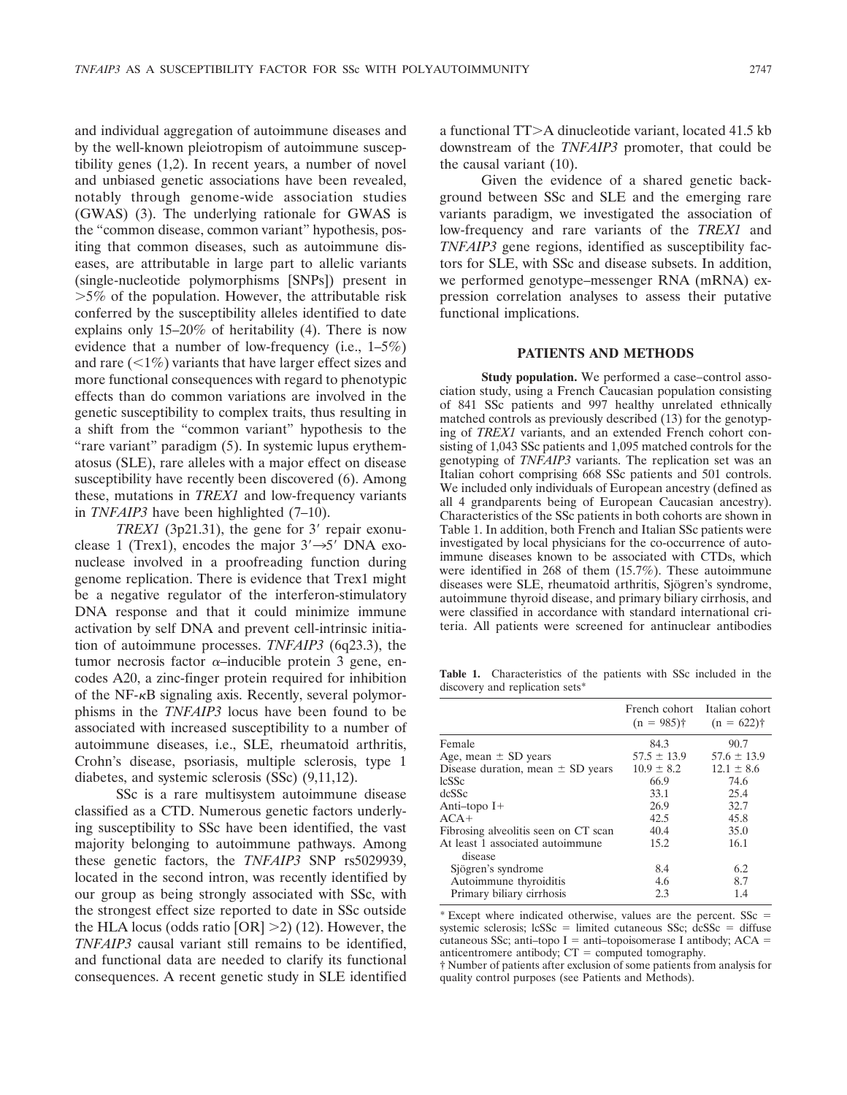and individual aggregation of autoimmune diseases and by the well-known pleiotropism of autoimmune susceptibility genes (1,2). In recent years, a number of novel and unbiased genetic associations have been revealed, notably through genome-wide association studies (GWAS) (3). The underlying rationale for GWAS is the "common disease, common variant" hypothesis, positing that common diseases, such as autoimmune diseases, are attributable in large part to allelic variants (single-nucleotide polymorphisms [SNPs]) present in  $>5\%$  of the population. However, the attributable risk conferred by the susceptibility alleles identified to date explains only 15–20% of heritability (4). There is now evidence that a number of low-frequency (i.e., 1–5%) and rare  $\left( \langle 1\% \rangle \right)$  variants that have larger effect sizes and more functional consequences with regard to phenotypic effects than do common variations are involved in the genetic susceptibility to complex traits, thus resulting in a shift from the "common variant" hypothesis to the "rare variant" paradigm (5). In systemic lupus erythematosus (SLE), rare alleles with a major effect on disease susceptibility have recently been discovered (6). Among these, mutations in *TREX1* and low-frequency variants in *TNFAIP3* have been highlighted (7–10).

*TREX1* (3p21.31), the gene for 3' repair exonuclease 1 (Trex1), encodes the major  $3' \rightarrow 5'$  DNA exonuclease involved in a proofreading function during genome replication. There is evidence that Trex1 might be a negative regulator of the interferon-stimulatory DNA response and that it could minimize immune activation by self DNA and prevent cell-intrinsic initiation of autoimmune processes. *TNFAIP3* (6q23.3), the tumor necrosis factor  $\alpha$ -inducible protein 3 gene, encodes A20, a zinc-finger protein required for inhibition of the NF- $\kappa$ B signaling axis. Recently, several polymorphisms in the *TNFAIP3* locus have been found to be associated with increased susceptibility to a number of autoimmune diseases, i.e., SLE, rheumatoid arthritis, Crohn's disease, psoriasis, multiple sclerosis, type 1 diabetes, and systemic sclerosis (SSc) (9,11,12).

SSc is a rare multisystem autoimmune disease classified as a CTD. Numerous genetic factors underlying susceptibility to SSc have been identified, the vast majority belonging to autoimmune pathways. Among these genetic factors, the *TNFAIP3* SNP rs5029939, located in the second intron, was recently identified by our group as being strongly associated with SSc, with the strongest effect size reported to date in SSc outside the HLA locus (odds ratio  $[OR] > 2$ ) (12). However, the *TNFAIP3* causal variant still remains to be identified, and functional data are needed to clarify its functional consequences. A recent genetic study in SLE identified

a functional TT>A dinucleotide variant, located 41.5 kb downstream of the *TNFAIP3* promoter, that could be the causal variant (10).

Given the evidence of a shared genetic background between SSc and SLE and the emerging rare variants paradigm, we investigated the association of low-frequency and rare variants of the *TREX1* and *TNFAIP3* gene regions, identified as susceptibility factors for SLE, with SSc and disease subsets. In addition, we performed genotype–messenger RNA (mRNA) expression correlation analyses to assess their putative functional implications.

#### **PATIENTS AND METHODS**

**Study population.** We performed a case–control association study, using a French Caucasian population consisting of 841 SSc patients and 997 healthy unrelated ethnically matched controls as previously described (13) for the genotyping of *TREX1* variants, and an extended French cohort consisting of 1,043 SSc patients and 1,095 matched controls for the genotyping of *TNFAIP3* variants. The replication set was an Italian cohort comprising 668 SSc patients and 501 controls. We included only individuals of European ancestry (defined as all 4 grandparents being of European Caucasian ancestry). Characteristics of the SSc patients in both cohorts are shown in Table 1. In addition, both French and Italian SSc patients were investigated by local physicians for the co-occurrence of autoimmune diseases known to be associated with CTDs, which were identified in 268 of them (15.7%). These autoimmune diseases were SLE, rheumatoid arthritis, Sjögren's syndrome, autoimmune thyroid disease, and primary biliary cirrhosis, and were classified in accordance with standard international criteria. All patients were screened for antinuclear antibodies

**Table 1.** Characteristics of the patients with SSc included in the discovery and replication sets\*

|                                             | French cohort Italian cohort<br>$(n = 985)$ † | $(n = 622)$ †   |
|---------------------------------------------|-----------------------------------------------|-----------------|
| Female                                      | 84.3                                          | 90.7            |
| Age, mean $\pm$ SD years                    | $57.5 \pm 13.9$                               | $57.6 \pm 13.9$ |
| Disease duration, mean $\pm$ SD years       | $10.9 \pm 8.2$                                | $12.1 \pm 8.6$  |
| <b>lcSSc</b>                                | 66.9                                          | 74.6            |
| dcSSc                                       | 33.1                                          | 25.4            |
| Anti-topo $I+$                              | 26.9                                          | 32.7            |
| $ACA+$                                      | 42.5                                          | 45.8            |
| Fibrosing alveolitis seen on CT scan        | 40.4                                          | 35.0            |
| At least 1 associated autoimmune<br>disease | 15.2                                          | 16.1            |
| Sjögren's syndrome                          | 8.4                                           | 6.2             |
| Autoimmune thyroiditis                      | 4.6                                           | 8.7             |
| Primary biliary cirrhosis                   | 2.3                                           | 1.4             |

\* Except where indicated otherwise, values are the percent. SSc systemic sclerosis;  $lcSSc = limited$  cutaneous SSc;  $dcSSc = diffuse$ cutaneous SSc; anti-topo I = anti-topoisomerase I antibody;  $ACA =$ anticentromere antibody;  $CT =$  computed tomography.

† Number of patients after exclusion of some patients from analysis for quality control purposes (see Patients and Methods).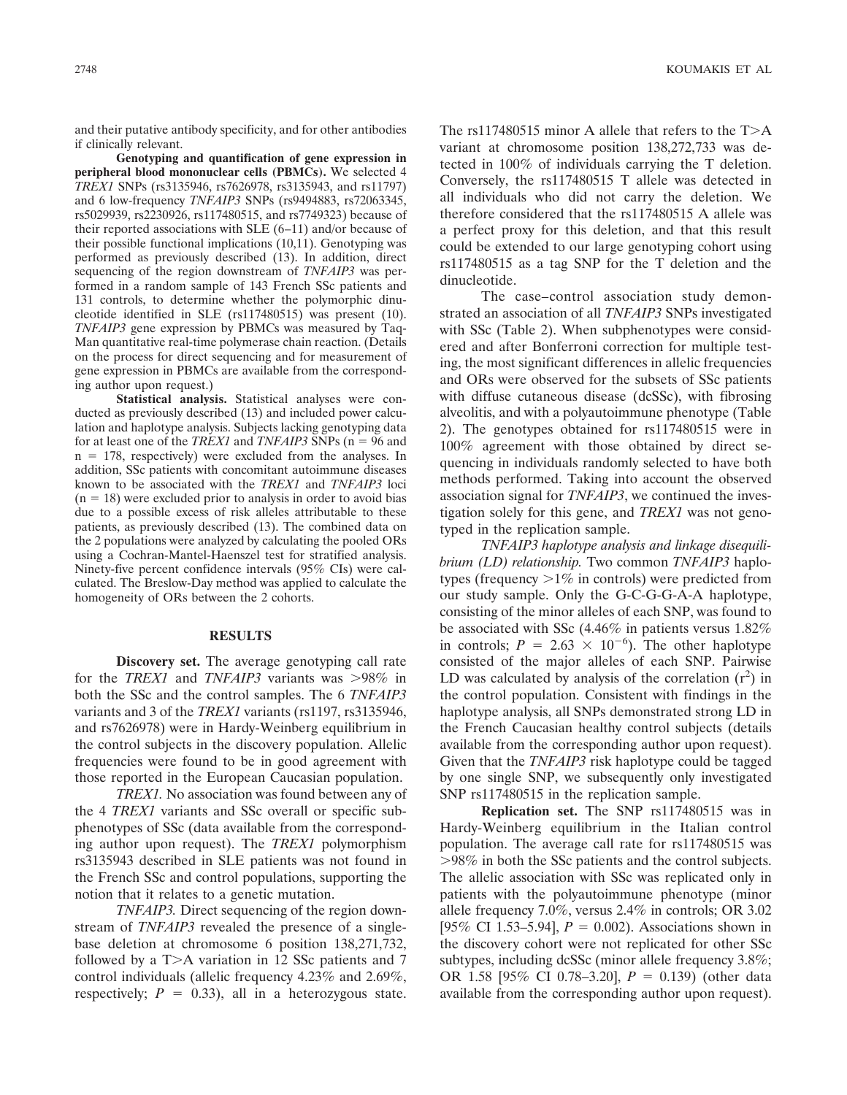and their putative antibody specificity, and for other antibodies if clinically relevant.

**Genotyping and quantification of gene expression in peripheral blood mononuclear cells (PBMCs).** We selected 4 *TREX1* SNPs (rs3135946, rs7626978, rs3135943, and rs11797) and 6 low-frequency *TNFAIP3* SNPs (rs9494883, rs72063345, rs5029939, rs2230926, rs117480515, and rs7749323) because of their reported associations with SLE (6–11) and/or because of their possible functional implications (10,11). Genotyping was performed as previously described (13). In addition, direct sequencing of the region downstream of *TNFAIP3* was performed in a random sample of 143 French SSc patients and 131 controls, to determine whether the polymorphic dinucleotide identified in SLE (rs117480515) was present (10). *TNFAIP3* gene expression by PBMCs was measured by Taq-Man quantitative real-time polymerase chain reaction. (Details on the process for direct sequencing and for measurement of gene expression in PBMCs are available from the corresponding author upon request.)

**Statistical analysis.** Statistical analyses were conducted as previously described (13) and included power calculation and haplotype analysis. Subjects lacking genotyping data for at least one of the *TREX1* and *TNFAIP3* SNPs ( $n = 96$  and  $n = 178$ , respectively) were excluded from the analyses. In addition, SSc patients with concomitant autoimmune diseases known to be associated with the *TREX1* and *TNFAIP3* loci  $(n = 18)$  were excluded prior to analysis in order to avoid bias due to a possible excess of risk alleles attributable to these patients, as previously described (13). The combined data on the 2 populations were analyzed by calculating the pooled ORs using a Cochran-Mantel-Haenszel test for stratified analysis. Ninety-five percent confidence intervals (95% CIs) were calculated. The Breslow-Day method was applied to calculate the homogeneity of ORs between the 2 cohorts.

#### **RESULTS**

**Discovery set.** The average genotyping call rate for the *TREX1* and *TNFAIP3* variants was >98% in both the SSc and the control samples. The 6 *TNFAIP3* variants and 3 of the *TREX1* variants (rs1197, rs3135946, and rs7626978) were in Hardy-Weinberg equilibrium in the control subjects in the discovery population. Allelic frequencies were found to be in good agreement with those reported in the European Caucasian population.

*TREX1.* No association was found between any of the 4 *TREX1* variants and SSc overall or specific subphenotypes of SSc (data available from the corresponding author upon request). The *TREX1* polymorphism rs3135943 described in SLE patients was not found in the French SSc and control populations, supporting the notion that it relates to a genetic mutation.

*TNFAIP3.* Direct sequencing of the region downstream of *TNFAIP3* revealed the presence of a singlebase deletion at chromosome 6 position 138,271,732, followed by a  $T>A$  variation in 12 SSc patients and 7 control individuals (allelic frequency 4.23% and 2.69%, respectively;  $P = 0.33$ ), all in a heterozygous state.

The rs117480515 minor A allele that refers to the  $T>A$ variant at chromosome position 138,272,733 was detected in 100% of individuals carrying the T deletion. Conversely, the rs117480515 T allele was detected in all individuals who did not carry the deletion. We therefore considered that the rs117480515 A allele was a perfect proxy for this deletion, and that this result could be extended to our large genotyping cohort using rs117480515 as a tag SNP for the T deletion and the dinucleotide.

The case–control association study demonstrated an association of all *TNFAIP3* SNPs investigated with SSc (Table 2). When subphenotypes were considered and after Bonferroni correction for multiple testing, the most significant differences in allelic frequencies and ORs were observed for the subsets of SSc patients with diffuse cutaneous disease (dcSSc), with fibrosing alveolitis, and with a polyautoimmune phenotype (Table 2). The genotypes obtained for rs117480515 were in 100% agreement with those obtained by direct sequencing in individuals randomly selected to have both methods performed. Taking into account the observed association signal for *TNFAIP3*, we continued the investigation solely for this gene, and *TREX1* was not genotyped in the replication sample.

*TNFAIP3 haplotype analysis and linkage disequilibrium (LD) relationship.* Two common *TNFAIP3* haplotypes (frequency  $>1\%$  in controls) were predicted from our study sample. Only the G-C-G-G-A-A haplotype, consisting of the minor alleles of each SNP, was found to be associated with SSc (4.46% in patients versus 1.82% in controls;  $P = 2.63 \times 10^{-6}$ ). The other haplotype consisted of the major alleles of each SNP. Pairwise LD was calculated by analysis of the correlation  $(r^2)$  in the control population. Consistent with findings in the haplotype analysis, all SNPs demonstrated strong LD in the French Caucasian healthy control subjects (details available from the corresponding author upon request). Given that the *TNFAIP3* risk haplotype could be tagged by one single SNP, we subsequently only investigated SNP rs117480515 in the replication sample.

**Replication set.** The SNP rs117480515 was in Hardy-Weinberg equilibrium in the Italian control population. The average call rate for rs117480515 was 98% in both the SSc patients and the control subjects. The allelic association with SSc was replicated only in patients with the polyautoimmune phenotype (minor allele frequency 7.0%, versus 2.4% in controls; OR 3.02 [95% CI 1.53–5.94],  $P = 0.002$ ). Associations shown in the discovery cohort were not replicated for other SSc subtypes, including dcSSc (minor allele frequency 3.8%; OR 1.58 [95% CI 0.78–3.20],  $P = 0.139$  (other data available from the corresponding author upon request).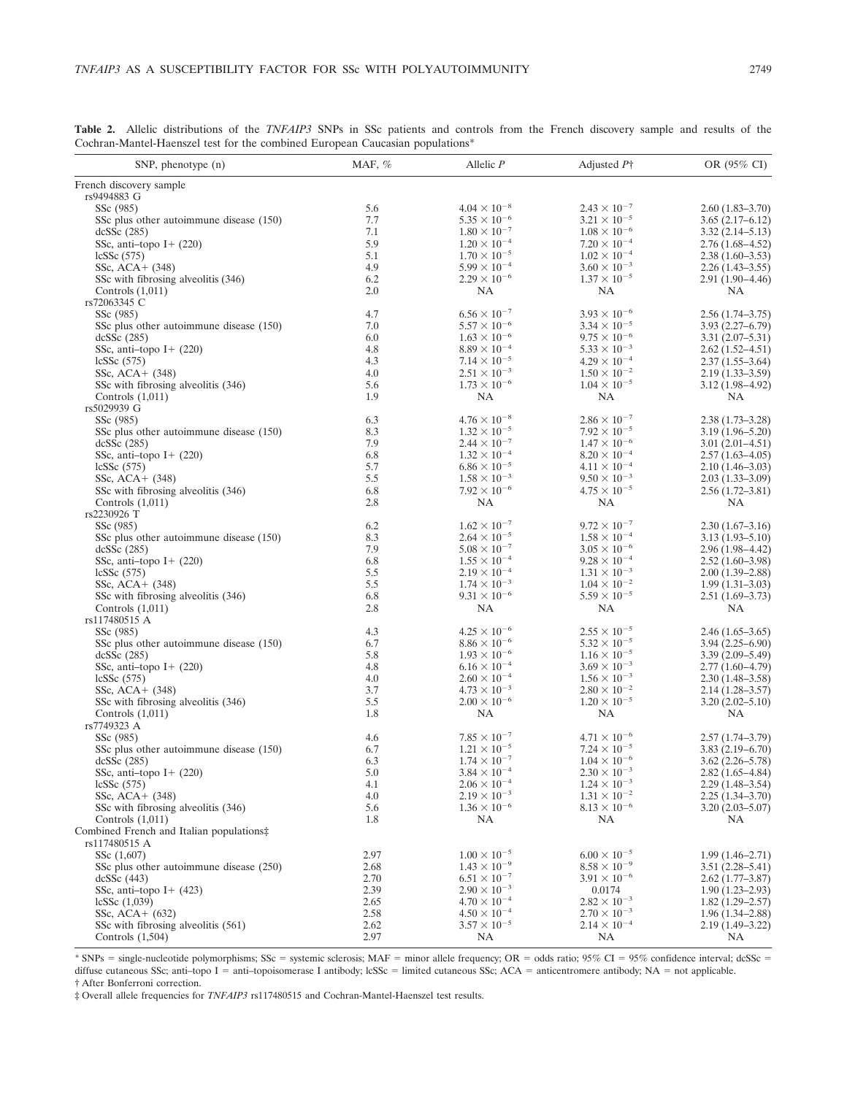**Table 2.** Allelic distributions of the *TNFAIP3* SNPs in SSc patients and controls from the French discovery sample and results of the Cochran-Mantel-Haenszel test for the combined European Caucasian populations\*

| SNP, phenotype $(n)$                     | MAF, $%$ | Allelic $P$           | Adjusted $P\uparrow$  | OR (95% CI)         |
|------------------------------------------|----------|-----------------------|-----------------------|---------------------|
| French discovery sample                  |          |                       |                       |                     |
| rs9494883 G                              |          |                       |                       |                     |
| SSc (985)                                | 5.6      | $4.04 \times 10^{-8}$ | $2.43 \times 10^{-7}$ | $2.60(1.83 - 3.70)$ |
| SSc plus other autoimmune disease (150)  | 7.7      | $5.35 \times 10^{-6}$ | $3.21 \times 10^{-5}$ | $3.65(2.17-6.12)$   |
| dcSSc(285)                               | 7.1      | $1.80 \times 10^{-7}$ | $1.08 \times 10^{-6}$ | $3.32(2.14 - 5.13)$ |
| SSc, anti-topo $I + (220)$               | 5.9      | $1.20 \times 10^{-4}$ | $7.20 \times 10^{-4}$ | $2.76(1.68-4.52)$   |
| lcSSc(575)                               | 5.1      | $1.70 \times 10^{-5}$ | $1.02 \times 10^{-4}$ | $2.38(1.60-3.53)$   |
| SSc, $ACA + (348)$                       | 4.9      | $5.99 \times 10^{-4}$ | $3.60 \times 10^{-3}$ | $2.26(1.43-3.55)$   |
| SSc with fibrosing alveolitis (346)      | 6.2      | $2.29 \times 10^{-6}$ | $1.37 \times 10^{-5}$ | $2.91(1.90-4.46)$   |
| Controls $(1,011)$                       | 2.0      | NA                    | NA                    | NA                  |
| rs72063345 C                             |          |                       |                       |                     |
| SSc (985)                                | 4.7      | $6.56 \times 10^{-7}$ | $3.93 \times 10^{-6}$ | $2.56(1.74-3.75)$   |
| SSc plus other autoimmune disease (150)  | 7.0      | $5.57 \times 10^{-6}$ | $3.34 \times 10^{-5}$ | $3.93(2.27-6.79)$   |
| dcSSc(285)                               | 6.0      | $1.63 \times 10^{-6}$ | $9.75 \times 10^{-6}$ | $3.31(2.07 - 5.31)$ |
| SSc, anti-topo I+ (220)                  | 4.8      | $8.89 \times 10^{-4}$ | $5.33 \times 10^{-3}$ | $2.62(1.52 - 4.51)$ |
| lcSSc $(575)$                            | 4.3      | $7.14 \times 10^{-5}$ | $4.29 \times 10^{-4}$ | $2.37(1.55-3.64)$   |
| SSc, $ACA + (348)$                       | 4.0      | $2.51 \times 10^{-3}$ | $1.50 \times 10^{-2}$ | $2.19(1.33 - 3.59)$ |
| SSc with fibrosing alveolitis (346)      | 5.6      | $1.73 \times 10^{-6}$ | $1.04 \times 10^{-5}$ | $3.12(1.98 - 4.92)$ |
| Controls $(1,011)$                       | 1.9      | NA                    | <b>NA</b>             | NA                  |
| rs5029939 G                              |          |                       |                       |                     |
| SSc (985)                                | 6.3      | $4.76 \times 10^{-8}$ | $2.86 \times 10^{-7}$ | $2.38(1.73 - 3.28)$ |
| SSc plus other autoimmune disease (150)  | 8.3      | $1.32 \times 10^{-5}$ | $7.92 \times 10^{-5}$ | $3.19(1.96 - 5.20)$ |
| dcSSc(285)                               | 7.9      | $2.44 \times 10^{-7}$ | $1.47 \times 10^{-6}$ | $3.01(2.01-4.51)$   |
| SSc, anti-topo $I + (220)$               | 6.8      | $1.32 \times 10^{-4}$ | $8.20 \times 10^{-4}$ | $2.57(1.63-4.05)$   |
| lcSSc(575)                               | 5.7      | $6.86 \times 10^{-5}$ | $4.11\times10^{-4}$   | $2.10(1.46-3.03)$   |
| SSc, $ACA + (348)$                       | 5.5      | $1.58 \times 10^{-3}$ | $9.50\times10^{-3}$   | $2.03(1.33 - 3.09)$ |
| SSc with fibrosing alveolitis (346)      | 6.8      | $7.92 \times 10^{-6}$ | $4.75 \times 10^{-5}$ | $2.56(1.72 - 3.81)$ |
| Controls $(1,011)$                       | 2.8      | NA                    | NA                    | <b>NA</b>           |
| rs2230926 T                              |          |                       |                       |                     |
| SSc (985)                                | 6.2      | $1.62 \times 10^{-7}$ | $9.72 \times 10^{-7}$ | $2.30(1.67-3.16)$   |
| SSc plus other autoimmune disease (150)  | 8.3      | $2.64 \times 10^{-5}$ | $1.58 \times 10^{-4}$ | $3.13(1.93 - 5.10)$ |
|                                          | 7.9      | $5.08 \times 10^{-7}$ | $3.05 \times 10^{-6}$ | $2.96(1.98 - 4.42)$ |
| dcSSc(285)                               | 6.8      | $1.55 \times 10^{-4}$ |                       |                     |
| SSc, anti-topo $I + (220)$               |          |                       | $9.28 \times 10^{-4}$ | $2.52(1.60-3.98)$   |
| lcSSc $(575)$                            | 5.5      | $2.19 \times 10^{-4}$ | $1.31 \times 10^{-3}$ | $2.00(1.39 - 2.88)$ |
| SSc, $ACA + (348)$                       | 5.5      | $1.74 \times 10^{-3}$ | $1.04 \times 10^{-2}$ | $1.99(1.31 - 3.03)$ |
| SSc with fibrosing alveolitis (346)      | 6.8      | $9.31\times10^{-6}$   | $5.59 \times 10^{-5}$ | $2.51(1.69-3.73)$   |
| Controls $(1,011)$                       | 2.8      | NA                    | NA                    | NA                  |
| rs117480515 A                            |          |                       |                       |                     |
| SSc (985)                                | 4.3      | $4.25 \times 10^{-6}$ | $2.55 \times 10^{-5}$ | $2.46(1.65-3.65)$   |
| SSc plus other autoimmune disease (150)  | 6.7      | $8.86 \times 10^{-6}$ | $5.32 \times 10^{-5}$ | $3.94(2.25 - 6.90)$ |
| dcSSc(285)                               | 5.8      | $1.93 \times 10^{-6}$ | $1.16 \times 10^{-5}$ | $3.39(2.09 - 5.49)$ |
| SSc, anti-topo I+ (220)                  | 4.8      | $6.16 \times 10^{-4}$ | $3.69 \times 10^{-3}$ | $2.77(1.60-4.79)$   |
| lcSSc(575)                               | 4.0      | $2.60 \times 10^{-4}$ | $1.56 \times 10^{-3}$ | $2.30(1.48 - 3.58)$ |
| SSc, $ACA + (348)$                       | 3.7      | $4.73 \times 10^{-3}$ | $2.80 \times 10^{-2}$ | $2.14(1.28 - 3.57)$ |
| SSc with fibrosing alveolitis (346)      | 5.5      | $2.00 \times 10^{-6}$ | $1.20 \times 10^{-5}$ | $3.20(2.02 - 5.10)$ |
| Controls $(1,011)$                       | 1.8      | <b>NA</b>             | NA                    | <b>NA</b>           |
| rs7749323 A                              |          |                       |                       |                     |
| SSc (985)                                | 4.6      | $7.85 \times 10^{-7}$ | $4.71 \times 10^{-6}$ | $2.57(1.74 - 3.79)$ |
| SSc plus other autoimmune disease (150)  | 6.7      | $1.21 \times 10^{-5}$ | $7.24 \times 10^{-5}$ | $3.83(2.19-6.70)$   |
| dcSSc(285)                               | 6.3      | $1.74 \times 10^{-7}$ | $1.04 \times 10^{-6}$ | $3.62(2.26 - 5.78)$ |
| SSc, anti-topo $I + (220)$               | 5.0      | $3.84\times10^{-4}$   | $2.30\times10^{-3}$   | $2.82(1.65 - 4.84)$ |
| lcSSc(575)                               | 4.1      | $2.06 \times 10^{-4}$ | $1.24 \times 10^{-3}$ | $2.29(1.48 - 3.54)$ |
| SSc, $ACA + (348)$                       | 4.0      | $2.19 \times 10^{-3}$ | $1.31 \times 10^{-2}$ | $2.25(1.34 - 3.70)$ |
| SSc with fibrosing alveolitis (346)      | 5.6      | $1.36 \times 10^{-6}$ | $8.13 \times 10^{-6}$ | $3.20(2.03 - 5.07)$ |
| Controls $(1,011)$                       | 1.8      | NA                    | NA                    | NA                  |
| Combined French and Italian populations‡ |          |                       |                       |                     |
| rs117480515 A                            |          |                       |                       |                     |
| SSc (1,607)                              | 2.97     | $1.00 \times 10^{-5}$ | $6.00 \times 10^{-5}$ | $1.99(1.46 - 2.71)$ |
| SSc plus other autoimmune disease (250)  | 2.68     | $1.43 \times 10^{-9}$ | $8.58 \times 10^{-9}$ | $3.51(2.28 - 5.41)$ |
| dcSSc(443)                               | 2.70     | $6.51 \times 10^{-7}$ | $3.91 \times 10^{-6}$ | $2.62(1.77-3.87)$   |
| SSc, anti-topo $I + (423)$               | 2.39     | $2.90 \times 10^{-3}$ | 0.0174                | $1.90(1.23 - 2.93)$ |
|                                          |          |                       |                       |                     |
| lcSSc(1,039)                             | 2.65     | $4.70 \times 10^{-4}$ | $2.82 \times 10^{-3}$ | $1.82(1.29 - 2.57)$ |
| SSc, $ACA + (632)$                       | 2.58     | $4.50 \times 10^{-4}$ | $2.70 \times 10^{-3}$ | $1.96(1.34 - 2.88)$ |
| SSc with fibrosing alveolitis (561)      | 2.62     | $3.57 \times 10^{-5}$ | $2.14 \times 10^{-4}$ | $2.19(1.49 - 3.22)$ |
| Controls $(1,504)$                       | 2.97     | NA                    | NA                    | NA                  |

\* SNPs = single-nucleotide polymorphisms; SSc = systemic sclerosis; MAF = minor allele frequency; OR = odds ratio; 95% CI = 95% confidence interval; dcSSc = diffuse cutaneous SSc; anti-topo I = anti-topoisomerase I antibody; lcSSc = limited cutaneous SSc; ACA = anticentromere antibody; NA = not applicable. † After Bonferroni correction.

‡ Overall allele frequencies for *TNFAIP3* rs117480515 and Cochran-Mantel-Haenszel test results.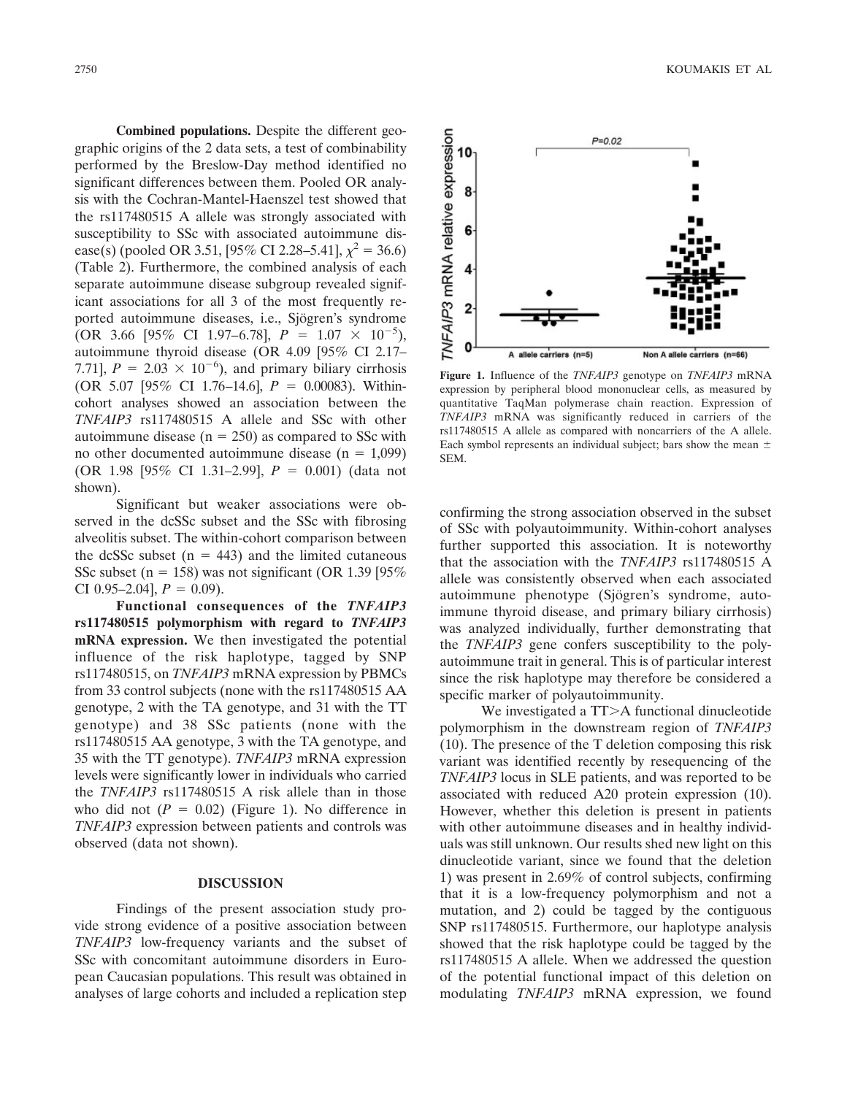**Combined populations.** Despite the different geographic origins of the 2 data sets, a test of combinability performed by the Breslow-Day method identified no significant differences between them. Pooled OR analysis with the Cochran-Mantel-Haenszel test showed that the rs117480515 A allele was strongly associated with susceptibility to SSc with associated autoimmune disease(s) (pooled OR 3.51, [95% CI 2.28–5.41],  $\chi^2 = 36.6$ ) (Table 2). Furthermore, the combined analysis of each separate autoimmune disease subgroup revealed significant associations for all 3 of the most frequently reported autoimmune diseases, i.e., Sjögren's syndrome  $(OR\ 3.66\ 95\% \ CI\ 1.97-6.78], P = 1.07 \times 10^{-5}),$ autoimmune thyroid disease (OR 4.09 [95% CI 2.17– 7.71],  $P = 2.03 \times 10^{-6}$ , and primary biliary cirrhosis (OR 5.07 [95% CI 1.76-14.6],  $P = 0.00083$ ). Withincohort analyses showed an association between the *TNFAIP3* rs117480515 A allele and SSc with other autoimmune disease ( $n = 250$ ) as compared to SSc with no other documented autoimmune disease ( $n = 1,099$ ) (OR 1.98 [95% CI 1.31–2.99],  $P = 0.001$ ) (data not shown).

Significant but weaker associations were observed in the dcSSc subset and the SSc with fibrosing alveolitis subset. The within-cohort comparison between the dcSSc subset  $(n = 443)$  and the limited cutaneous SSc subset (n = 158) was not significant (OR 1.39 [95%) CI 0.95–2.04],  $P = 0.09$ ).

**Functional consequences of the** *TNFAIP3* **rs117480515 polymorphism with regard to** *TNFAIP3* **mRNA expression.** We then investigated the potential influence of the risk haplotype, tagged by SNP rs117480515, on *TNFAIP3* mRNA expression by PBMCs from 33 control subjects (none with the rs117480515 AA genotype, 2 with the TA genotype, and 31 with the TT genotype) and 38 SSc patients (none with the rs117480515 AA genotype, 3 with the TA genotype, and 35 with the TT genotype). *TNFAIP3* mRNA expression levels were significantly lower in individuals who carried the *TNFAIP3* rs117480515 A risk allele than in those who did not  $(P = 0.02)$  (Figure 1). No difference in *TNFAIP3* expression between patients and controls was observed (data not shown).

### **DISCUSSION**

Findings of the present association study provide strong evidence of a positive association between *TNFAIP3* low-frequency variants and the subset of SSc with concomitant autoimmune disorders in European Caucasian populations. This result was obtained in analyses of large cohorts and included a replication step



**Figure 1.** Influence of the *TNFAIP3* genotype on *TNFAIP3* mRNA expression by peripheral blood mononuclear cells, as measured by quantitative TaqMan polymerase chain reaction. Expression of *TNFAIP3* mRNA was significantly reduced in carriers of the rs117480515 A allele as compared with noncarriers of the A allele. Each symbol represents an individual subject; bars show the mean  $\pm$ SEM.

confirming the strong association observed in the subset of SSc with polyautoimmunity. Within-cohort analyses further supported this association. It is noteworthy that the association with the *TNFAIP3* rs117480515 A allele was consistently observed when each associated autoimmune phenotype (Sjögren's syndrome, autoimmune thyroid disease, and primary biliary cirrhosis) was analyzed individually, further demonstrating that the *TNFAIP3* gene confers susceptibility to the polyautoimmune trait in general. This is of particular interest since the risk haplotype may therefore be considered a specific marker of polyautoimmunity.

We investigated a  $TT>A$  functional dinucleotide polymorphism in the downstream region of *TNFAIP3* (10). The presence of the T deletion composing this risk variant was identified recently by resequencing of the *TNFAIP3* locus in SLE patients, and was reported to be associated with reduced A20 protein expression (10). However, whether this deletion is present in patients with other autoimmune diseases and in healthy individuals was still unknown. Our results shed new light on this dinucleotide variant, since we found that the deletion 1) was present in 2.69% of control subjects, confirming that it is a low-frequency polymorphism and not a mutation, and 2) could be tagged by the contiguous SNP rs117480515. Furthermore, our haplotype analysis showed that the risk haplotype could be tagged by the rs117480515 A allele. When we addressed the question of the potential functional impact of this deletion on modulating *TNFAIP3* mRNA expression, we found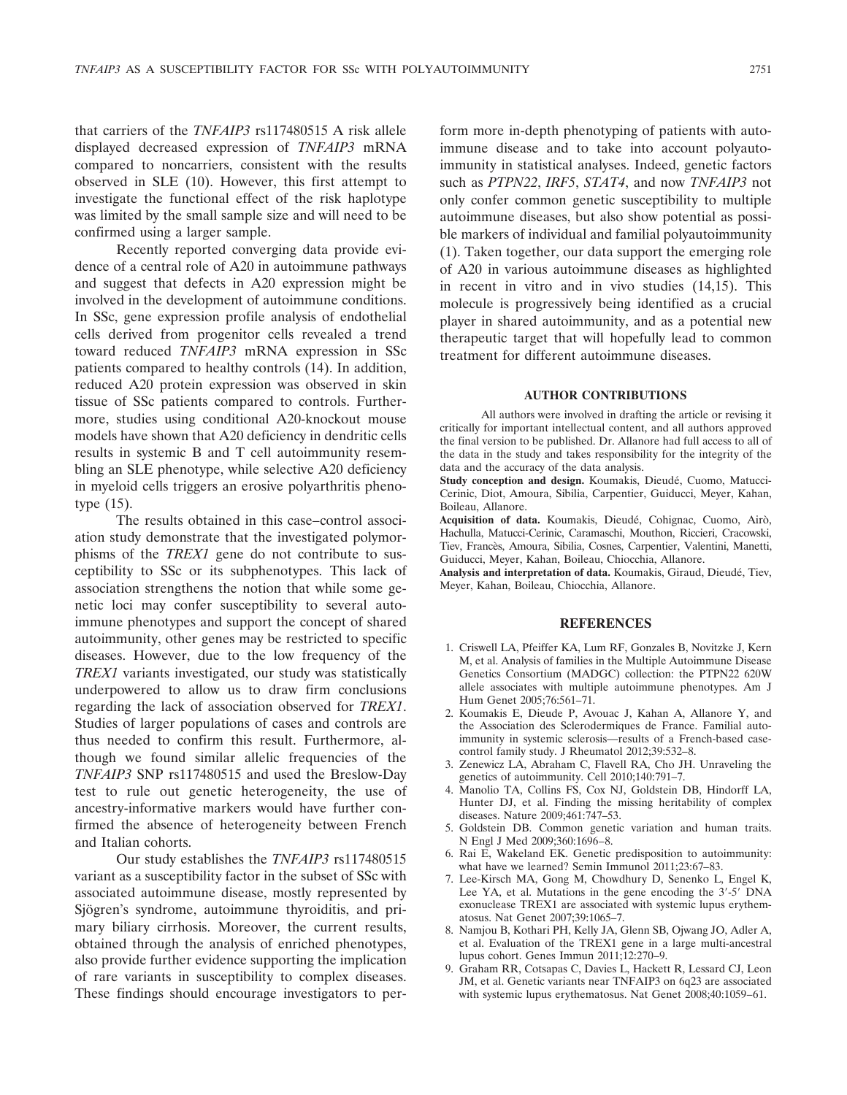that carriers of the *TNFAIP3* rs117480515 A risk allele displayed decreased expression of *TNFAIP3* mRNA compared to noncarriers, consistent with the results observed in SLE (10). However, this first attempt to investigate the functional effect of the risk haplotype was limited by the small sample size and will need to be confirmed using a larger sample.

Recently reported converging data provide evidence of a central role of A20 in autoimmune pathways and suggest that defects in A20 expression might be involved in the development of autoimmune conditions. In SSc, gene expression profile analysis of endothelial cells derived from progenitor cells revealed a trend toward reduced *TNFAIP3* mRNA expression in SSc patients compared to healthy controls (14). In addition, reduced A20 protein expression was observed in skin tissue of SSc patients compared to controls. Furthermore, studies using conditional A20-knockout mouse models have shown that A20 deficiency in dendritic cells results in systemic B and T cell autoimmunity resembling an SLE phenotype, while selective A20 deficiency in myeloid cells triggers an erosive polyarthritis phenotype (15).

The results obtained in this case–control association study demonstrate that the investigated polymorphisms of the *TREX1* gene do not contribute to susceptibility to SSc or its subphenotypes. This lack of association strengthens the notion that while some genetic loci may confer susceptibility to several autoimmune phenotypes and support the concept of shared autoimmunity, other genes may be restricted to specific diseases. However, due to the low frequency of the *TREX1* variants investigated, our study was statistically underpowered to allow us to draw firm conclusions regarding the lack of association observed for *TREX1*. Studies of larger populations of cases and controls are thus needed to confirm this result. Furthermore, although we found similar allelic frequencies of the *TNFAIP3* SNP rs117480515 and used the Breslow-Day test to rule out genetic heterogeneity, the use of ancestry-informative markers would have further confirmed the absence of heterogeneity between French and Italian cohorts.

Our study establishes the *TNFAIP3* rs117480515 variant as a susceptibility factor in the subset of SSc with associated autoimmune disease, mostly represented by Sjögren's syndrome, autoimmune thyroiditis, and primary biliary cirrhosis. Moreover, the current results, obtained through the analysis of enriched phenotypes, also provide further evidence supporting the implication of rare variants in susceptibility to complex diseases. These findings should encourage investigators to per-

form more in-depth phenotyping of patients with autoimmune disease and to take into account polyautoimmunity in statistical analyses. Indeed, genetic factors such as *PTPN22*, *IRF5*, *STAT4*, and now *TNFAIP3* not only confer common genetic susceptibility to multiple autoimmune diseases, but also show potential as possible markers of individual and familial polyautoimmunity (1). Taken together, our data support the emerging role of A20 in various autoimmune diseases as highlighted in recent in vitro and in vivo studies (14,15). This molecule is progressively being identified as a crucial player in shared autoimmunity, and as a potential new therapeutic target that will hopefully lead to common treatment for different autoimmune diseases.

#### **AUTHOR CONTRIBUTIONS**

All authors were involved in drafting the article or revising it critically for important intellectual content, and all authors approved the final version to be published. Dr. Allanore had full access to all of the data in the study and takes responsibility for the integrity of the data and the accuracy of the data analysis.

Study conception and design. Koumakis, Dieudé, Cuomo, Matucci-Cerinic, Diot, Amoura, Sibilia, Carpentier, Guiducci, Meyer, Kahan, Boileau, Allanore.

Acquisition of data. Koumakis, Dieudé, Cohignac, Cuomo, Airò, Hachulla, Matucci-Cerinic, Caramaschi, Mouthon, Riccieri, Cracowski, Tiev, Francès, Amoura, Sibilia, Cosnes, Carpentier, Valentini, Manetti, Guiducci, Meyer, Kahan, Boileau, Chiocchia, Allanore.

Analysis and interpretation of data. Koumakis, Giraud, Dieudé, Tiev, Meyer, Kahan, Boileau, Chiocchia, Allanore.

#### **REFERENCES**

- 1. Criswell LA, Pfeiffer KA, Lum RF, Gonzales B, Novitzke J, Kern M, et al. Analysis of families in the Multiple Autoimmune Disease Genetics Consortium (MADGC) collection: the PTPN22 620W allele associates with multiple autoimmune phenotypes. Am J Hum Genet 2005;76:561–71.
- 2. Koumakis E, Dieude P, Avouac J, Kahan A, Allanore Y, and the Association des Sclerodermiques de France. Familial autoimmunity in systemic sclerosis—results of a French-based casecontrol family study. J Rheumatol 2012;39:532–8.
- 3. Zenewicz LA, Abraham C, Flavell RA, Cho JH. Unraveling the genetics of autoimmunity. Cell 2010;140:791–7.
- 4. Manolio TA, Collins FS, Cox NJ, Goldstein DB, Hindorff LA, Hunter DJ, et al. Finding the missing heritability of complex diseases. Nature 2009;461:747–53.
- 5. Goldstein DB. Common genetic variation and human traits. N Engl J Med 2009;360:1696–8.
- 6. Rai E, Wakeland EK. Genetic predisposition to autoimmunity: what have we learned? Semin Immunol 2011;23:67-83.
- 7. Lee-Kirsch MA, Gong M, Chowdhury D, Senenko L, Engel K, Lee YA, et al. Mutations in the gene encoding the 3'-5' DNA exonuclease TREX1 are associated with systemic lupus erythematosus. Nat Genet 2007;39:1065–7.
- 8. Namjou B, Kothari PH, Kelly JA, Glenn SB, Ojwang JO, Adler A, et al. Evaluation of the TREX1 gene in a large multi-ancestral lupus cohort. Genes Immun 2011;12:270–9.
- 9. Graham RR, Cotsapas C, Davies L, Hackett R, Lessard CJ, Leon JM, et al. Genetic variants near TNFAIP3 on 6q23 are associated with systemic lupus erythematosus. Nat Genet 2008;40:1059–61.